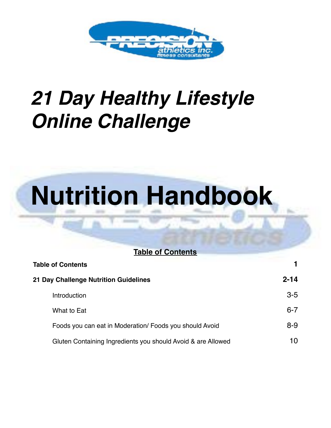

## *21 Day Healthy Lifestyle Online Challenge*

# **Nutrition Handbook**

| <b>Table of Contents</b>                                     |          |
|--------------------------------------------------------------|----------|
| <b>Table of Contents</b>                                     |          |
| 21 Day Challenge Nutrition Guidelines                        | $2 - 14$ |
| <b>Introduction</b>                                          | $3-5$    |
| What to Eat                                                  | $6 - 7$  |
| Foods you can eat in Moderation/ Foods you should Avoid      | $8 - 9$  |
| Gluten Containing Ingredients you should Avoid & are Allowed | 10       |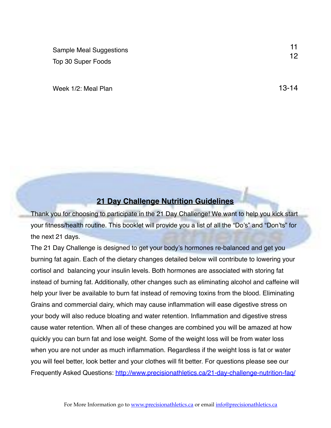Sample Meal Suggestions Top 30 Super Foods

Week 1/2: Meal Plan 13-14

11 12

## **21 Day Challenge Nutrition Guidelines**

Thank you for choosing to participate in the 21 Day Challenge! We want to help you kick start your fitness/health routine. This booklet will provide you a list of all the "Do's" and "Don'ts" for the next 21 days.

The 21 Day Challenge is designed to get your body's hormones re-balanced and get you burning fat again. Each of the dietary changes detailed below will contribute to lowering your cortisol and balancing your insulin levels. Both hormones are associated with storing fat instead of burning fat. Additionally, other changes such as eliminating alcohol and caffeine will help your liver be available to burn fat instead of removing toxins from the blood. Eliminating Grains and commercial dairy, which may cause inflammation will ease digestive stress on your body will also reduce bloating and water retention. Inflammation and digestive stress cause water retention. When all of these changes are combined you will be amazed at how quickly you can burn fat and lose weight. Some of the weight loss will be from water loss when you are not under as much inflammation. Regardless if the weight loss is fat or water you will feel better, look better and your clothes will fit better. For questions please see our Frequently Asked Questions:<http://www.precisionathletics.ca/21-day-challenge-nutrition-faq/>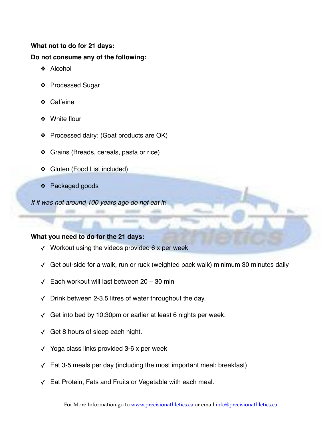## **What not to do for 21 days:**

#### **Do not consume any of the following:**

- ❖ Alcohol
- ❖ Processed Sugar
- ❖ Caffeine
- ❖ White flour
- ❖ Processed dairy: (Goat products are OK)
- ❖ Grains (Breads, cereals, pasta or rice)
- ❖ Gluten (Food List included)
- ❖ Packaged goods

*If it was not around 100 years ago do not eat it!*

#### **What you need to do for the 21 days:**

- $\checkmark$  Workout using the videos provided 6 x per week
- ✓ Get out-side for a walk, run or ruck (weighted pack walk) minimum 30 minutes daily
- ✓ Each workout will last between 20 30 min
- ✓ Drink between 2-3.5 litres of water throughout the day.
- ✓ Get into bed by 10:30pm or earlier at least 6 nights per week.
- ✓ Get 8 hours of sleep each night.
- ✓ Yoga class links provided 3-6 x per week
- ✓ Eat 3-5 meals per day (including the most important meal: breakfast)
- ✓ Eat Protein, Fats and Fruits or Vegetable with each meal.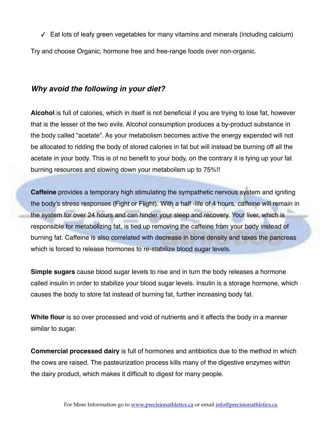✓ Eat lots of leafy green vegetables for many vitamins and minerals (including calcium)

Try and choose Organic, hormone free and free-range foods over non-organic.

## *Why avoid the following in your diet?*

**Alcohol** is full of calories, which in itself is not beneficial if you are trying to lose fat, however that is the lesser of the two evils. Alcohol consumption produces a by-product substance in the body called "acetate". As your metabolism becomes active the energy expended will not be allocated to ridding the body of stored calories in fat but will instead be burning off all the acetate in your body. This is of no benefit to your body, on the contrary it is tying up your fat burning resources and slowing down your metabolism up to 75%!!

**Caffeine** provides a temporary high stimulating the sympathetic nervous system and igniting the body's stress responses (Fight or Flight). With a half -life of 4 hours, caffeine will remain in the system for over 24 hours and can hinder your sleep and recovery. Your liver, which is responsible for metabolizing fat, is tied up removing the caffeine from your body instead of burning fat. Caffeine is also correlated with decrease in bone density and taxes the pancreas which is forced to release hormones to re-stabilize blood sugar levels.

**Simple sugars** cause blood sugar levels to rise and in turn the body releases a hormone called insulin in order to stabilize your blood sugar levels. Insulin is a storage hormone, which causes the body to store fat instead of burning fat, further increasing body fat.

**White flour** is so over processed and void of nutrients and it affects the body in a manner similar to sugar.

**Commercial processed dairy** is full of hormones and antibiotics due to the method in which the cows are raised. The pasteurization process kills many of the digestive enzymes within the dairy product, which makes it difficult to digest for many people.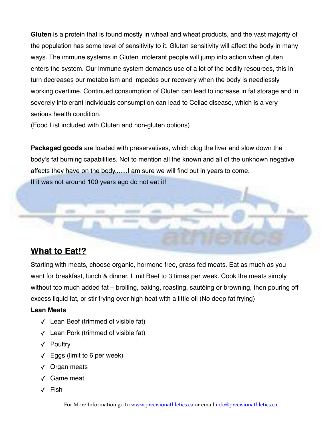**Gluten** is a protein that is found mostly in wheat and wheat products, and the vast majority of the population has some level of sensitivity to it. Gluten sensitivity will affect the body in many ways. The immune systems in Gluten intolerant people will jump into action when gluten enters the system. Our immune system demands use of a lot of the bodily resources, this in turn decreases our metabolism and impedes our recovery when the body is needlessly working overtime. Continued consumption of Gluten can lead to increase in fat storage and in severely intolerant individuals consumption can lead to Celiac disease, which is a very serious health condition.

(Food List included with Gluten and non-gluten options)

**Packaged goods** are loaded with preservatives, which clog the liver and slow down the body's fat burning capabilities. Not to mention all the known and all of the unknown negative affects they have on the body.......I am sure we will find out in years to come.

If it was not around 100 years ago do not eat it!

## **What to Eat!?**

Starting with meats, choose organic, hormone free, grass fed meats. Eat as much as you want for breakfast, lunch & dinner. Limit Beef to 3 times per week. Cook the meats simply without too much added fat – broiling, baking, roasting, sautéing or browning, then pouring off excess liquid fat, or stir frying over high heat with a little oil (No deep fat frying)

#### **Lean Meats**

- ✓ Lean Beef (trimmed of visible fat)
- ✓ Lean Pork (trimmed of visible fat)
- ✓ Poultry
- $\sqrt{ }$  Eggs (limit to 6 per week)
- ✓ Organ meats
- ✓ Game meat
- ✓ Fish

For More Information go to [www.precisionathletics.ca](http://www.precisionathletics.ca) or email [info@precisionathletics.ca](mailto:info@precisionathletics.ca)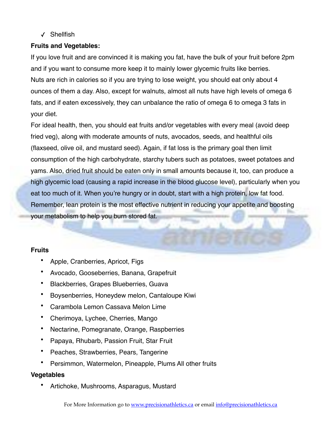#### ✓ Shellfish

## **Fruits and Vegetables:**

If you love fruit and are convinced it is making you fat, have the bulk of your fruit before 2pm and if you want to consume more keep it to mainly lower glycemic fruits like berries. Nuts are rich in calories so if you are trying to lose weight, you should eat only about 4 ounces of them a day. Also, except for walnuts, almost all nuts have high levels of omega 6 fats, and if eaten excessively, they can unbalance the ratio of omega 6 to omega 3 fats in your diet.

For ideal health, then, you should eat fruits and/or vegetables with every meal (avoid deep fried veg), along with moderate amounts of nuts, avocados, seeds, and healthful oils (flaxseed, olive oil, and mustard seed). Again, if fat loss is the primary goal then limit consumption of the high carbohydrate, starchy tubers such as potatoes, sweet potatoes and yams. Also, dried fruit should be eaten only in small amounts because it, too, can produce a high glycemic load (causing a rapid increase in the blood glucose level), particularly when you eat too much of it. When you're hungry or in doubt, start with a high protein, low fat food. Remember, lean protein is the most effective nutrient in reducing your appetite and boosting your metabolism to help you burn stored fat.

## **Fruits**

- Apple, Cranberries, Apricot, Figs
- Avocado, Gooseberries, Banana, Grapefruit
- Blackberries, Grapes Blueberries, Guava
- Boysenberries, Honeydew melon, Cantaloupe Kiwi
- Carambola Lemon Cassava Melon Lime
- Cherimoya, Lychee, Cherries, Mango
- Nectarine, Pomegranate, Orange, Raspberries
- Papaya, Rhubarb, Passion Fruit, Star Fruit
- Peaches, Strawberries, Pears, Tangerine
- Persimmon, Watermelon, Pineapple, Plums All other fruits

## **Vegetables**

• Artichoke, Mushrooms, Asparagus, Mustard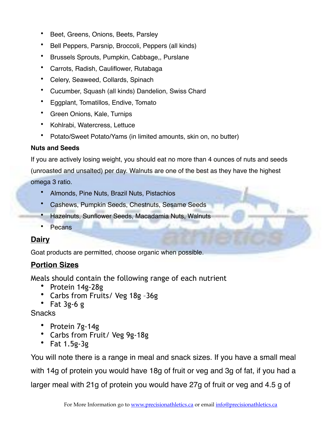- Beet, Greens, Onions, Beets, Parsley
- Bell Peppers, Parsnip, Broccoli, Peppers (all kinds)
- Brussels Sprouts, Pumpkin, Cabbage,, Purslane
- Carrots, Radish, Cauliflower, Rutabaga
- Celery, Seaweed, Collards, Spinach
- Cucumber, Squash (all kinds) Dandelion, Swiss Chard
- Eggplant, Tomatillos, Endive, Tomato
- Green Onions, Kale, Turnips
- Kohlrabi, Watercress, Lettuce
- Potato/Sweet Potato/Yams (in limited amounts, skin on, no butter)

## **Nuts and Seeds**

If you are actively losing weight, you should eat no more than 4 ounces of nuts and seeds (unroasted and unsalted) per day. Walnuts are one of the best as they have the highest omega 3 ratio.

- Almonds, Pine Nuts, Brazil Nuts, Pistachios
- Cashews, Pumpkin Seeds, Chestnuts, Sesame Seeds
- Hazelnuts, Sunflower Seeds, Macadamia Nuts, Walnuts
- Pecans

## **Dairy**

Goat products are permitted, choose organic when possible.

## **Portion Sizes**

Meals should contain the following range of each nutrient

- Protein 14g-28g
- Carbs from Fruits/ Veg 18g –36g
- Fat 3g-6 g

**Snacks** 

- Protein 7g-14g
- Carbs from Fruit/ Veg 9g-18g
- Fat 1.5g-3g

You will note there is a range in meal and snack sizes. If you have a small meal with 14g of protein you would have 18g of fruit or veg and 3g of fat, if you had a larger meal with 21g of protein you would have 27g of fruit or veg and 4.5 g of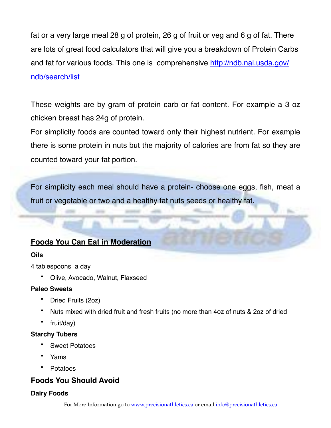fat or a very large meal 28 g of protein, 26 g of fruit or veg and 6 g of fat. There are lots of great food calculators that will give you a breakdown of Protein Carbs and fat for various foods. This one is comprehensive [http://ndb.nal.usda.gov/](http://ndb.nal.usda.gov/ndb/search/list) [ndb/search/list](http://ndb.nal.usda.gov/ndb/search/list)

These weights are by gram of protein carb or fat content. For example a 3 oz chicken breast has 24g of protein.

For simplicity foods are counted toward only their highest nutrient. For example there is some protein in nuts but the majority of calories are from fat so they are counted toward your fat portion.

For simplicity each meal should have a protein- choose one eggs, fish, meat a fruit or vegetable or two and a healthy fat nuts seeds or healthy fat.

## **Foods You Can Eat in Moderation**

## **Oils**

4 tablespoons a day

• Olive, Avocado, Walnut, Flaxseed

## **Paleo Sweets**

- Dried Fruits (2oz)
- Nuts mixed with dried fruit and fresh fruits (no more than 4oz of nuts & 2oz of dried
- fruit/day)

## **Starchy Tubers**

- Sweet Potatoes
- Yams
- Potatoes

## **Foods You Should Avoid**

## **Dairy Foods**

For More Information go to [www.precisionathletics.ca](http://www.precisionathletics.ca) or email [info@precisionathletics.ca](mailto:info@precisionathletics.ca)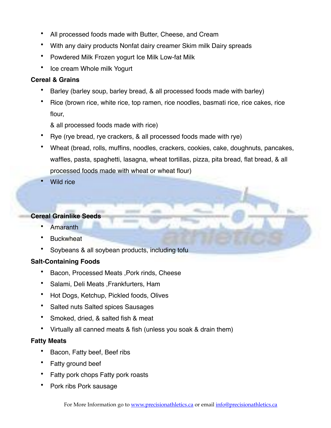- All processed foods made with Butter, Cheese, and Cream
- With any dairy products Nonfat dairy creamer Skim milk Dairy spreads
- Powdered Milk Frozen yogurt Ice Milk Low-fat Milk
- Ice cream Whole milk Yogurt

#### **Cereal & Grains**

- Barley (barley soup, barley bread, & all processed foods made with barley)
- Rice (brown rice, white rice, top ramen, rice noodles, basmati rice, rice cakes, rice flour,

& all processed foods made with rice)

- Rye (rye bread, rye crackers, & all processed foods made with rye)
- Wheat (bread, rolls, muffins, noodles, crackers, cookies, cake, doughnuts, pancakes, waffles, pasta, spaghetti, lasagna, wheat tortillas, pizza, pita bread, flat bread, & all processed foods made with wheat or wheat flour)
- Wild rice

## **Cereal Grainlike Seeds**

- Amaranth
- **Buckwheat**
- Soybeans & all soybean products, including toful

## **Salt-Containing Foods**

- Bacon, Processed Meats ,Pork rinds, Cheese
- Salami, Deli Meats ,Frankfurters, Ham
- Hot Dogs, Ketchup, Pickled foods, Olives
- Salted nuts Salted spices Sausages
- Smoked, dried, & salted fish & meat
- Virtually all canned meats & fish (unless you soak & drain them)

## **Fatty Meats**

- Bacon, Fatty beef, Beef ribs
- Fatty ground beef
- Fatty pork chops Fatty pork roasts
- Pork ribs Pork sausage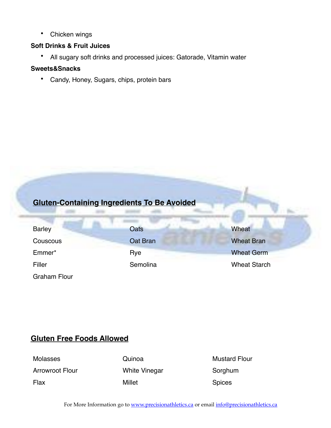• Chicken wings

## **Soft Drinks & Fruit Juices**

• All sugary soft drinks and processed juices: Gatorade, Vitamin water

## **Sweets&Snacks**

• Candy, Honey, Sugars, chips, protein bars

## **Gluten-Containing Ingredients To Be Avoided**

| <b>Barley</b>       | <b>Oats</b> | Wheat               |
|---------------------|-------------|---------------------|
| Couscous            | Oat Bran    | <b>Wheat Bran</b>   |
| Emmer*              | Rye         | <b>Wheat Germ</b>   |
| Filler              | Semolina    | <b>Wheat Starch</b> |
| <b>Graham Flour</b> |             |                     |

## **Gluten Free Foods Allowed**

Molasses **Molasses** Quinoa Mustard Flour Arrowroot Flour **Mhite Vinegar** Sorghum Flax **Flax** Spices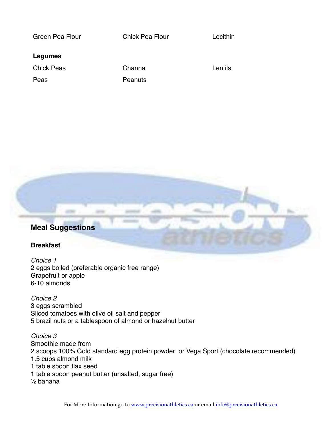| Green Pea Flour   | <b>Chick Pea Flour</b> | Lecithin |
|-------------------|------------------------|----------|
| <u>Legumes</u>    |                        |          |
| <b>Chick Peas</b> | Channa                 | Lentils  |
| Peas              | Peanuts                |          |
|                   |                        |          |



## **Breakfast**

*Choice 1* 2 eggs boiled (preferable organic free range) Grapefruit or apple 6-10 almonds

*Choice 2* 3 eggs scrambled Sliced tomatoes with olive oil salt and pepper 5 brazil nuts or a tablespoon of almond or hazelnut butter

*Choice 3* Smoothie made from 2 scoops 100% Gold standard egg protein powder or Vega Sport (chocolate recommended) 1.5 cups almond milk 1 table spoon flax seed 1 table spoon peanut butter (unsalted, sugar free) ½ banana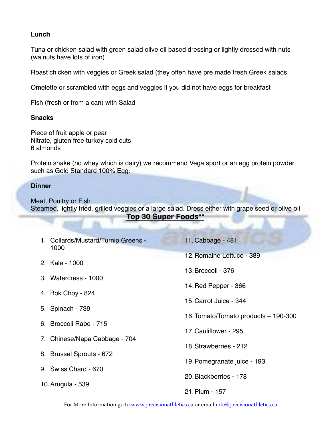#### **Lunch**

Tuna or chicken salad with green salad olive oil based dressing or lightly dressed with nuts (walnuts have lots of iron)

Roast chicken with veggies or Greek salad (they often have pre made fresh Greek salads

Omelette or scrambled with eggs and veggies if you did not have eggs for breakfast

Fish (fresh or from a can) with Salad

#### **Snacks**

Piece of fruit apple or pear Nitrate, gluten free turkey cold cuts 6 almonds

Protein shake (no whey which is dairy) we recommend Vega sport or an egg protein powder such as Gold Standard 100% Egg.

#### **Dinner**

Meat, Poultry or Fish Steamed, lightly fried, grilled veggies or a large salad. Dress either with grape seed or olive oil **Top 30 Super Foods\*\***

| 1. Collards/Mustard/Turnip Greens -<br>1000 | 11. Cabbage - 481                    |
|---------------------------------------------|--------------------------------------|
| 2. Kale - 1000                              | 12. Romaine Lettuce - 389            |
|                                             | 13. Broccoli - 376                   |
| 3. Watercress - 1000                        | 14. Red Pepper - 366                 |
| 4. Bok Choy - 824                           | 15. Carrot Juice - 344               |
| 5. Spinach - 739                            | 16. Tomato/Tomato products - 190-300 |
| 6. Broccoli Rabe - 715                      | 17. Cauliflower - 295                |
| 7. Chinese/Napa Cabbage - 704               | 18. Strawberries - 212               |
| 8. Brussel Sprouts - 672                    |                                      |
| 9. Swiss Chard - 670                        | 19. Pomegranate juice - 193          |
| 10. Arugula - 539                           | 20. Blackberries - 178               |
|                                             | 21. Plum - 157                       |

For More Information go to [www.precisionathletics.ca](http://www.precisionathletics.ca) or email [info@precisionathletics.ca](mailto:info@precisionathletics.ca)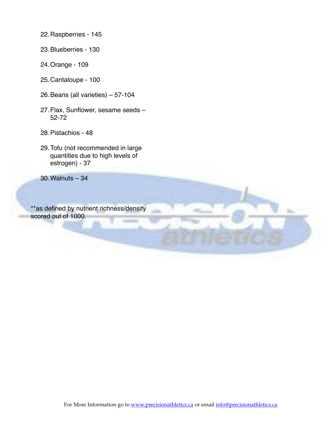- 22.Raspberries 145
- 23.Blueberries 130
- 24.Orange 109
- 25.Cantaloupe 100
- 26.Beans (all varieties) 57-104
- 27.Flax, Sunflower, sesame seeds 52-72
- 28.Pistachios 48
- 29.Tofu (not recommended in large quantities due to high levels of estrogen) - 37

30.Walnuts – 34

\*\*as defined by nutrient richness/density scored out of 1000.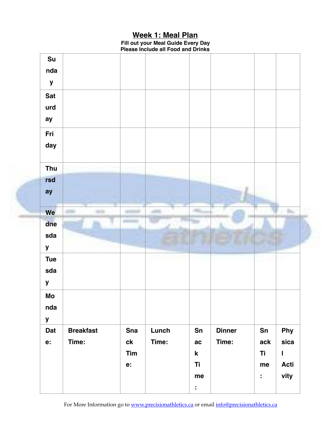## **Week 1: Meal Plan**

**Fill out your Meal Guide Every Day Please Include all Food and Drinks** 

|                                  |                           | Tim<br>e:                   |                | $\mathbf k$<br>Ti<br>me |                        | Ti<br>me<br>$\ddot{\phantom{a}}$ | $\mathbf{I}$<br><b>Acti</b><br>vity |  |
|----------------------------------|---------------------------|-----------------------------|----------------|-------------------------|------------------------|----------------------------------|-------------------------------------|--|
| Dat<br>e:                        | <b>Breakfast</b><br>Time: | <b>Sna</b><br>$c\mathbf{k}$ | Lunch<br>Time: | Sn<br>ac                | <b>Dinner</b><br>Time: | Sn<br>ack                        | <b>Phy</b><br>sica                  |  |
| y                                |                           |                             |                |                         |                        |                                  |                                     |  |
| nda                              |                           |                             |                |                         |                        |                                  |                                     |  |
| Mo                               |                           |                             |                |                         |                        |                                  |                                     |  |
| y                                |                           |                             |                |                         |                        |                                  |                                     |  |
| sda                              |                           |                             |                |                         |                        |                                  |                                     |  |
| $\pmb{\mathsf{y}}$<br><b>Tue</b> |                           |                             |                |                         |                        |                                  |                                     |  |
| sda                              |                           |                             |                |                         |                        |                                  |                                     |  |
| dne                              |                           |                             |                |                         |                        |                                  |                                     |  |
| We                               |                           |                             |                |                         |                        |                                  |                                     |  |
| ay                               |                           |                             |                |                         |                        |                                  |                                     |  |
| rsd                              |                           |                             |                |                         |                        |                                  |                                     |  |
| Thu                              |                           |                             |                |                         |                        |                                  |                                     |  |
| day                              |                           |                             |                |                         |                        |                                  |                                     |  |
| Fri                              |                           |                             |                |                         |                        |                                  |                                     |  |
| ay                               |                           |                             |                |                         |                        |                                  |                                     |  |
| urd                              |                           |                             |                |                         |                        |                                  |                                     |  |
| <b>Sat</b>                       |                           |                             |                |                         |                        |                                  |                                     |  |
| nda<br>${\bf y}$                 |                           |                             |                |                         |                        |                                  |                                     |  |
|                                  |                           |                             |                |                         |                        |                                  |                                     |  |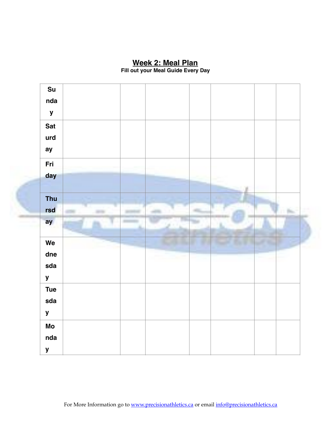## **Week 2: Meal Plan**

**Fill out your Meal Guide Every Day** 

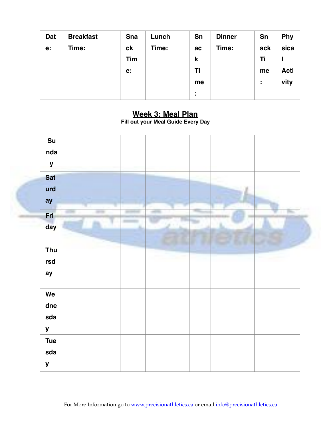| Dat | <b>Breakfast</b> | <b>Sna</b>     | Lunch | Sn                  | <b>Dinner</b> | Sn  | <b>Phy</b>  |
|-----|------------------|----------------|-------|---------------------|---------------|-----|-------------|
| e:  | Time:            | c <sub>k</sub> | Time: | ac                  | Time:         | ack | sica        |
|     |                  | Tim            |       | $\mathbf k$         |               | Ti  |             |
|     |                  | e:             |       | Ti                  |               | me  | <b>Acti</b> |
|     |                  |                |       | me                  |               | ÷   | vity        |
|     |                  |                |       | ٠<br>$\blacksquare$ |               |     |             |

## **Week 3: Meal Plan**

**Fill out your Meal Guide Every Day**